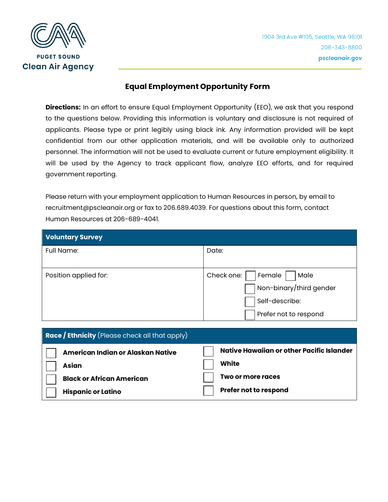

## **Equal Employment Opportunity Form**

**Directions:** In an effort to ensure Equal Employment Opportunity (EEO), we ask that you respond to the questions below. Providing this information is voluntary and disclosure is not required of applicants. Please type or print legibly using black ink. Any information provided will be kept confidential from our other application materials, and will be available only to authorized personnel. The information will not be used to evaluate current or future employment eligibility. It will be used by the Agency to track applicant flow, analyze EEO efforts, and for required government reporting.

Please return with your employment application to Human Resources in person, by email to recruitment@pscleanair.org or fax to 206.689.4039. For questions about this form, contact Human Resources at 206-689-4041.

| <b>Voluntary Survey</b> |                              |
|-------------------------|------------------------------|
| <b>Full Name:</b>       | Date:                        |
|                         |                              |
| Position applied for:   | Check one:<br>Male<br>Female |
|                         | Non-binary/third gender      |
|                         | Self-describe:               |
|                         | Prefer not to respond        |

| <b>Race / Ethnicity</b> (Please check all that apply) |                                           |
|-------------------------------------------------------|-------------------------------------------|
| American Indian or Alaskan Native                     | Native Hawaiian or other Pacific Islander |
| <b>Asian</b>                                          | White                                     |
| <b>Black or African American</b>                      | Two or more races                         |
| <b>Hispanic or Latino</b>                             | Prefer not to respond                     |